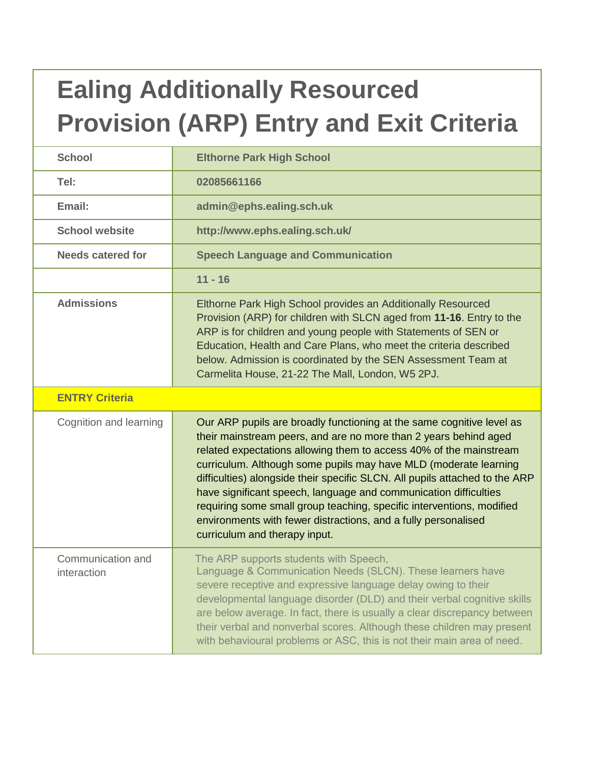# **Ealing Additionally Resourced Provision (ARP) Entry and Exit Criteria**

| <b>School</b>                    | <b>Elthorne Park High School</b>                                                                                                                                                                                                                                                                                                                                                                                                                                                                                                                                                                                   |
|----------------------------------|--------------------------------------------------------------------------------------------------------------------------------------------------------------------------------------------------------------------------------------------------------------------------------------------------------------------------------------------------------------------------------------------------------------------------------------------------------------------------------------------------------------------------------------------------------------------------------------------------------------------|
| Tel:                             | 02085661166                                                                                                                                                                                                                                                                                                                                                                                                                                                                                                                                                                                                        |
| Email:                           | admin@ephs.ealing.sch.uk                                                                                                                                                                                                                                                                                                                                                                                                                                                                                                                                                                                           |
| <b>School website</b>            | http://www.ephs.ealing.sch.uk/                                                                                                                                                                                                                                                                                                                                                                                                                                                                                                                                                                                     |
| <b>Needs catered for</b>         | <b>Speech Language and Communication</b>                                                                                                                                                                                                                                                                                                                                                                                                                                                                                                                                                                           |
|                                  | $11 - 16$                                                                                                                                                                                                                                                                                                                                                                                                                                                                                                                                                                                                          |
| <b>Admissions</b>                | Elthorne Park High School provides an Additionally Resourced<br>Provision (ARP) for children with SLCN aged from 11-16. Entry to the<br>ARP is for children and young people with Statements of SEN or<br>Education, Health and Care Plans, who meet the criteria described<br>below. Admission is coordinated by the SEN Assessment Team at<br>Carmelita House, 21-22 The Mall, London, W5 2PJ.                                                                                                                                                                                                                   |
| <b>ENTRY Criteria</b>            |                                                                                                                                                                                                                                                                                                                                                                                                                                                                                                                                                                                                                    |
| Cognition and learning           | Our ARP pupils are broadly functioning at the same cognitive level as<br>their mainstream peers, and are no more than 2 years behind aged<br>related expectations allowing them to access 40% of the mainstream<br>curriculum. Although some pupils may have MLD (moderate learning<br>difficulties) alongside their specific SLCN. All pupils attached to the ARP<br>have significant speech, language and communication difficulties<br>requiring some small group teaching, specific interventions, modified<br>environments with fewer distractions, and a fully personalised<br>curriculum and therapy input. |
| Communication and<br>interaction | The ARP supports students with Speech,<br>Language & Communication Needs (SLCN). These learners have<br>severe receptive and expressive language delay owing to their<br>developmental language disorder (DLD) and their verbal cognitive skills<br>are below average. In fact, there is usually a clear discrepancy between<br>their verbal and nonverbal scores. Although these children may present<br>with behavioural problems or ASC, this is not their main area of need.                                                                                                                                   |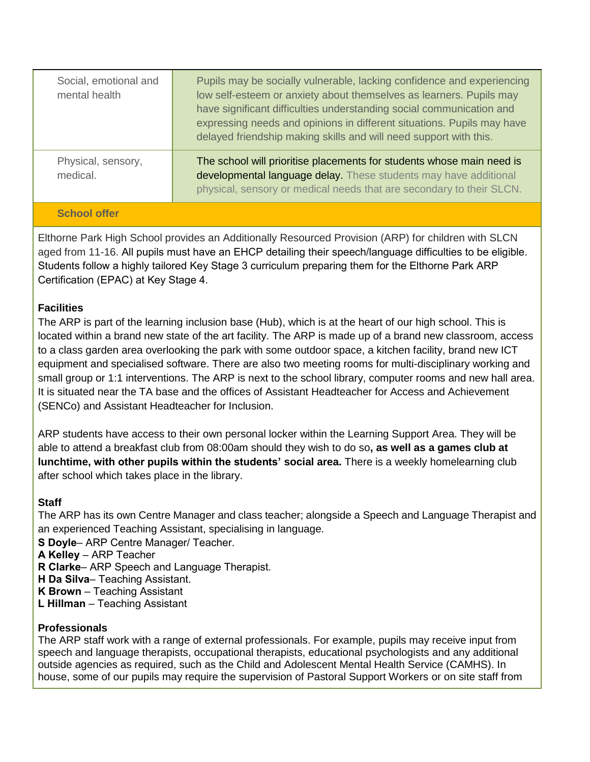| Social, emotional and<br>mental health | Pupils may be socially vulnerable, lacking confidence and experiencing<br>low self-esteem or anxiety about themselves as learners. Pupils may<br>have significant difficulties understanding social communication and<br>expressing needs and opinions in different situations. Pupils may have<br>delayed friendship making skills and will need support with this. |
|----------------------------------------|----------------------------------------------------------------------------------------------------------------------------------------------------------------------------------------------------------------------------------------------------------------------------------------------------------------------------------------------------------------------|
| Physical, sensory,<br>medical.         | The school will prioritise placements for students whose main need is<br>developmental language delay. These students may have additional<br>physical, sensory or medical needs that are secondary to their SLCN.                                                                                                                                                    |
|                                        |                                                                                                                                                                                                                                                                                                                                                                      |

## **School offer**

Elthorne Park High School provides an Additionally Resourced Provision (ARP) for children with SLCN aged from 11-16. All pupils must have an EHCP detailing their speech/language difficulties to be eligible. Students follow a highly tailored Key Stage 3 curriculum preparing them for the Elthorne Park ARP Certification (EPAC) at Key Stage 4.

## **Facilities**

The ARP is part of the learning inclusion base (Hub), which is at the heart of our high school. This is located within a brand new state of the art facility. The ARP is made up of a brand new classroom, access to a class garden area overlooking the park with some outdoor space, a kitchen facility, brand new ICT equipment and specialised software. There are also two meeting rooms for multi-disciplinary working and small group or 1:1 interventions. The ARP is next to the school library, computer rooms and new hall area. It is situated near the TA base and the offices of Assistant Headteacher for Access and Achievement (SENCo) and Assistant Headteacher for Inclusion.

ARP students have access to their own personal locker within the Learning Support Area. They will be able to attend a breakfast club from 08:00am should they wish to do so**, as well as a games club at lunchtime, with other pupils within the students' social area.** There is a weekly homelearning club after school which takes place in the library.

# **Staff**

The ARP has its own Centre Manager and class teacher; alongside a Speech and Language Therapist and an experienced Teaching Assistant, specialising in language.

**S Doyle**– ARP Centre Manager/ Teacher.

**A Kelley** – ARP Teacher

- **R Clarke** ARP Speech and Language Therapist.
- **H Da Silva** Teaching Assistant.
- **K Brown** Teaching Assistant
- **L Hillman** Teaching Assistant

#### **Professionals**

The ARP staff work with a range of external professionals. For example, pupils may receive input from speech and language therapists, occupational therapists, educational psychologists and any additional outside agencies as required, such as the Child and Adolescent Mental Health Service (CAMHS). In house, some of our pupils may require the supervision of Pastoral Support Workers or on site staff from